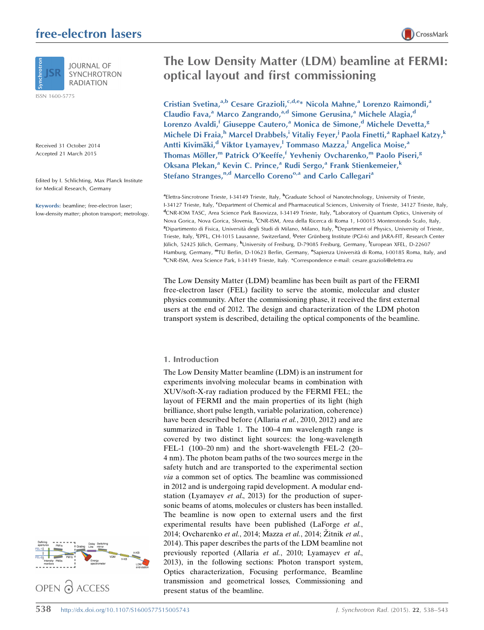## free-electron lasers



SYNCHROTRON **RADIATION** 

ISSN 1600-5775

Received 31 October 2014 Accepted 21 March 2015

Edited by I. Schlichting, Max Planck Institute for Medical Research, Germany

Keywords: beamline; free-electron laser; low-density matter; photon transport; metrology.

# The Low Density Matter (LDM) beamline at FERMI: optical layout and first commissioning

Cristian Svetina,<sup>a,b</sup> Cesare Grazioli,<sup>c,d,e\*</sup> Nicola Mahne,<sup>a</sup> Lorenzo Raimondi,<sup>a</sup> Claudio Fava,<sup>a</sup> Marco Zangrando,<sup>a,d</sup> Simone Gerusina,<sup>a</sup> Michele Alagia,<sup>d</sup> Lorenzo Avaldi,<sup>f</sup> Giuseppe Cautero,<sup>a</sup> Monica de Simone,<sup>d</sup> Michele Devetta,<sup>g</sup> Michele Di Fraia,<sup>h</sup> Marcel Drabbels,<sup>i</sup> Vitaliy Feyer,<sup>j</sup> Paola Finetti,<sup>a</sup> Raphael Katzy,<sup>k</sup> Antti Kivimäki,<sup>d</sup> Viktor Lyamayev,<sup>1</sup> Tommaso Mazza,<sup>l</sup> Angelica Moise,<sup>a</sup> Thomas Möller,<sup>m</sup> Patrick O'Keeffe,<sup>f</sup> Yevheniy Ovcharenko,<sup>m</sup> Paolo Piseri,<sup>g</sup> Oksana Plekan,<sup>a</sup> Kevin C. Prince,<sup>a</sup> Rudi Sergo,<sup>a</sup> Frank Stienkemeier,<sup>k</sup> Stefano Stranges,<sup>n,d</sup> Marcello Coreno<sup>o,a</sup> and Carlo Callegari<sup>a</sup>

<sup>a</sup>Elettra-Sincrotrone Trieste, I-34149 Trieste, Italy, <sup>b</sup>Graduate School of Nanotechnology, University of Trieste, I-34127 Trieste, Italy, <sup>c</sup>Department of Chemical and Pharmaceutical Sciences, University of Trieste, 34127 Trieste, Italy, <sup>d</sup>CNR-IOM TASC, Area Science Park Basovizza, I-34149 Trieste, Italy, <sup>e</sup>Laboratory of Quantum Optics, University of Nova Gorica, Nova Gorica, Slovenia, <sup>f</sup>CNR-ISM, Area della Ricerca di Roma 1, I-00015 Monterotondo Scalo, Italy, <sup>8</sup>Dipartimento di Fisica, Università degli Studi di Milano, Milano, Italy, <sup>h</sup>Department of Physics, University of Trieste, Trieste, Italy, <sup>i</sup>EPFL, CH-1015 Lausanne, Switzerland, <sup>j</sup>Peter Grünberg Institute (PGI-6) and JARA-FIT, Research Center Jülich, 52425 Jülich, Germany, <sup>k</sup>University of Freiburg, D-79085 Freiburg, Germany, <sup>I</sup>European XFEL, D-22607 Hamburg, Germany, <sup>m</sup>TU Berlin, D-10623 Berlin, Germany, <sup>n</sup>Sapienza Università di Roma, I-00185 Roma, Italy, and <sup>o</sup>CNR-ISM, Area Science Park, I-34149 Trieste, Italy. \*Correspondence e-mail: cesare.grazioli@elettra.eu

The Low Density Matter (LDM) beamline has been built as part of the FERMI free-electron laser (FEL) facility to serve the atomic, molecular and cluster physics community. After the commissioning phase, it received the first external users at the end of 2012. The design and characterization of the LDM photon transport system is described, detailing the optical components of the beamline.

### 1. Introduction

The Low Density Matter beamline (LDM) is an instrument for experiments involving molecular beams in combination with XUV/soft-X-ray radiation produced by the FERMI FEL; the layout of FERMI and the main properties of its light (high brilliance, short pulse length, variable polarization, coherence) have been described before (Allaria et al., 2010, 2012) and are summarized in Table 1. The 100–4 nm wavelength range is covered by two distinct light sources: the long-wavelength FEL-1 (100–20 nm) and the short-wavelength FEL-2 (20– 4 nm). The photon beam paths of the two sources merge in the safety hutch and are transported to the experimental section via a common set of optics. The beamline was commissioned in 2012 and is undergoing rapid development. A modular endstation (Lyamayev et al., 2013) for the production of supersonic beams of atoms, molecules or clusters has been installed. The beamline is now open to external users and the first experimental results have been published (LaForge *et al.*, 2014; Ovcharenko et al., 2014; Mazza et al., 2014; Žitnik et al., 2014). This paper describes the parts of the LDM beamline not previously reported (Allaria et al., 2010; Lyamayev et al., 2013), in the following sections: Photon transport system, Optics characterization, Focusing performance, Beamline transmission and geometrical losses, Commissioning and present status of the beamline.

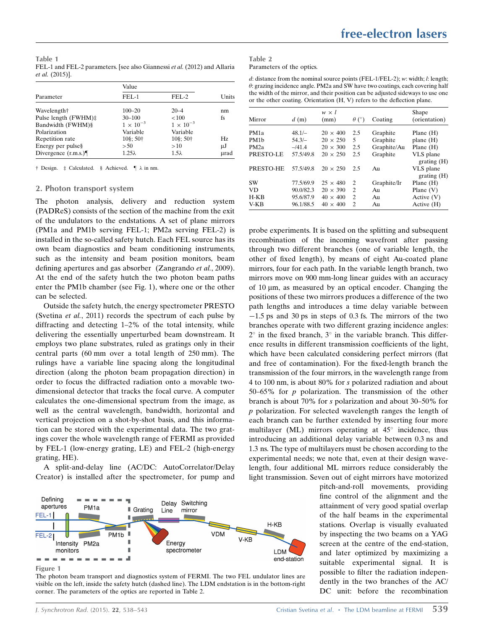Table 1 FEL-1 and FEL-2 parameters. [see also Giannessi et al. (2012) and Allaria et al. (2015)].

|                       | Value                |                      |       |
|-----------------------|----------------------|----------------------|-------|
| Parameter             | $FEL-1$              | $FEL-2$              | Units |
| Wavelength†           | $100 - 20$           | $20 - 4$             | nm    |
| Pulse length (FWHM)‡  | $30 - 100$           | < 100                | fs    |
| Bandwidth (FWHM)§     | $1 \times 10^{-3}$   | $1 \times 10^{-3}$   |       |
| Polarization          | Variable             | Variable             |       |
| Repetition rate       | $10\$ ; 50 $\dagger$ | $10\$ ; 50 $\dagger$ | Hz    |
| Energy per pulse§     | > 50                 | >10                  | μJ    |
| Divergence $(r.m.s.)$ | $1.25\lambda$        | $1.5\lambda$         | µrad  |

 $\dagger$  Design.  $\dagger$  Calculated. § Achieved.  $\P$   $\lambda$  in nm.

### 2. Photon transport system

The photon analysis, delivery and reduction system (PADReS) consists of the section of the machine from the exit of the undulators to the endstations. A set of plane mirrors (PM1a and PM1b serving FEL-1; PM2a serving FEL-2) is installed in the so-called safety hutch. Each FEL source has its own beam diagnostics and beam conditioning instruments, such as the intensity and beam position monitors, beam defining apertures and gas absorber (Zangrando et al., 2009). At the end of the safety hutch the two photon beam paths enter the PM1b chamber (see Fig. 1), where one or the other can be selected.

Outside the safety hutch, the energy spectrometer PRESTO (Svetina et al., 2011) records the spectrum of each pulse by diffracting and detecting 1–2% of the total intensity, while delivering the essentially unperturbed beam downstream. It employs two plane substrates, ruled as gratings only in their central parts (60 mm over a total length of 250 mm). The rulings have a variable line spacing along the longitudinal direction (along the photon beam propagation direction) in order to focus the diffracted radiation onto a movable twodimensional detector that tracks the focal curve. A computer calculates the one-dimensional spectrum from the image, as well as the central wavelength, bandwidth, horizontal and vertical projection on a shot-by-shot basis, and this information can be stored with the experimental data. The two gratings cover the whole wavelength range of FERMI as provided by FEL-1 (low-energy grating, LE) and FEL-2 (high-energy grating, HE).

A split-and-delay line (AC/DC: AutoCorrelator/Delay Creator) is installed after the spectrometer, for pump and



Figure 1

The photon beam transport and diagnostics system of FERMI. The two FEL undulator lines are visible on the left, inside the safety hutch (dashed line). The LDM endstation is in the bottom-right corner. The parameters of the optics are reported in Table 2.

| Table 2                   |  |  |
|---------------------------|--|--|
| Parameters of the optics. |  |  |

d: distance from the nominal source points (FEL-1/FEL-2); w: width;  $l$ : length;  $\theta$ : grazing incidence angle. PM2a and SW have two coatings, each covering half the width of the mirror, and their position can be adjusted sideways to use one or the other coating. Orientation (H, V) refers to the deflection plane.

| Mirror            | d(m)      | $w \times l$<br>(mm) | $\theta$ (°) | Coating     | Shape<br>(orientation) |
|-------------------|-----------|----------------------|--------------|-------------|------------------------|
|                   |           |                      |              |             |                        |
| PM <sub>1</sub> a | $48.1/-$  | $20 \times 400$      | 2.5          | Graphite    | Plane $(H)$            |
| PM <sub>1</sub> b | $54.3/-$  | $20 \times 250$      | 5            | Graphite    | plane $(H)$            |
| PM <sub>2a</sub>  | $-141.4$  | $20 \times 300$      | 2.5          | Graphite/Au | Plane $(H)$            |
| PRESTO-LE         | 57.5/49.8 | $20 \times 250$      | 2.5          | Graphite    | VLS plane              |
|                   |           |                      |              |             | grating(H)             |
| PRESTO-HE         | 57.5/49.8 | $20 \times 250$      | 2.5          | Au          | VLS plane              |
|                   |           |                      |              |             | grating(H)             |
| <b>SW</b>         | 77.5/69.9 | $25 \times 480$      | 2            | Graphite/Ir | Plane $(H)$            |
| VD.               | 90.0/82.3 | $20 \times 390$      | 2            | Au          | Plane $(V)$            |
| $H-KB$            | 95.6/87.9 | $40 \times 400$      | 2            | Au          | Active $(V)$           |
| $V-KB$            | 96.1/88.5 | $40 \times 400$      | 2            | Au          | Active (H)             |

probe experiments. It is based on the splitting and subsequent recombination of the incoming wavefront after passing through two different branches (one of variable length, the other of fixed length), by means of eight Au-coated plane mirrors, four for each path. In the variable length branch, two mirrors move on 900 mm-long linear guides with an accuracy of 10 mm, as measured by an optical encoder. Changing the positions of these two mirrors produces a difference of the two path lengths and introduces a time delay variable between -1.5 ps and 30 ps in steps of 0.3 fs. The mirrors of the two branches operate with two different grazing incidence angles:  $2^{\circ}$  in the fixed branch,  $3^{\circ}$  in the variable branch. This difference results in different transmission coefficients of the light, which have been calculated considering perfect mirrors (flat and free of contamination). For the fixed-length branch the transmission of the four mirrors, in the wavelength range from 4 to 100 nm, is about 80% for s polarized radiation and about 50–65% for  $p$  polarization. The transmission of the other branch is about 70% for s polarization and about 30–50% for p polarization. For selected wavelength ranges the length of each branch can be further extended by inserting four more multilayer (ML) mirrors operating at  $45^{\circ}$  incidence, thus introducing an additional delay variable between 0.3 ns and 1.3 ns. The type of multilayers must be chosen according to the experimental needs; we note that, even at their design wavelength, four additional ML mirrors reduce considerably the light transmission. Seven out of eight mirrors have motorized

> pitch-and-roll movements, providing fine control of the alignment and the attainment of very good spatial overlap of the half beams in the experimental stations. Overlap is visually evaluated by inspecting the two beams on a YAG screen at the centre of the end-station, and later optimized by maximizing a suitable experimental signal. It is possible to filter the radiation independently in the two branches of the AC/ DC unit: before the recombination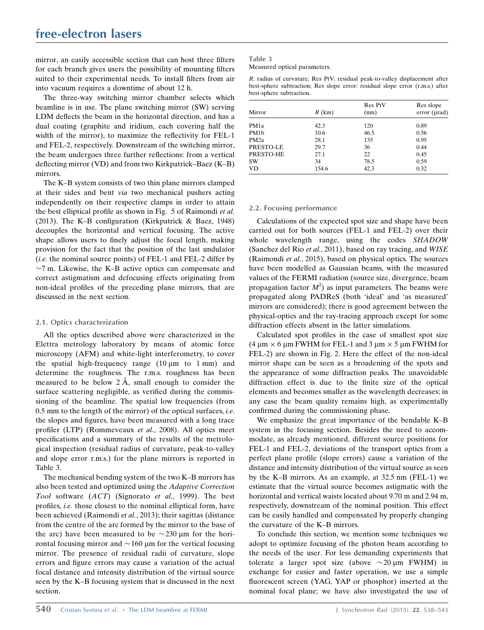mirror, an easily accessible section that can host three filters for each branch gives users the possibility of mounting filters suited to their experimental needs. To install filters from air into vacuum requires a downtime of about 12 h.

The three-way switching mirror chamber selects which beamline is in use. The plane switching mirror (SW) serving LDM deflects the beam in the horizontal direction, and has a dual coating (graphite and iridium, each covering half the width of the mirror), to maximize the reflectivity for FEL-1 and FEL-2, respectively. Downstream of the switching mirror, the beam undergoes three further reflections: from a vertical deflecting mirror (VD) and from two Kirkpatrick–Baez (K–B) mirrors.

The K–B system consists of two thin plane mirrors clamped at their sides and bent via two mechanical pushers acting independently on their respective clamps in order to attain the best elliptical profile as shown in Fig. 5 of Raimondi et al. (2013). The K–B configuration (Kirkpatrick & Baez, 1948) decouples the horizontal and vertical focusing. The active shape allows users to finely adjust the focal length, making provision for the fact that the position of the last undulator  $(i.e.$  the nominal source points) of FEL-1 and FEL-2 differ by  $\sim$ 7 m. Likewise, the K–B active optics can compensate and correct astigmatism and defocusing effects originating from non-ideal profiles of the preceding plane mirrors, that are discussed in the next section.

### 2.1. Optics characterization

All the optics described above were characterized in the Elettra metrology laboratory by means of atomic force microscopy (AFM) and white-light interferometry, to cover the spatial high-frequency range  $(10 \mu m)$  to 1 mm) and determine the roughness. The r.m.s. roughness has been measured to be below  $2 \text{ Å}$ , small enough to consider the surface scattering negligible, as verified during the commissioning of the beamline. The spatial low frequencies (from  $0.5$  mm to the length of the mirror) of the optical surfaces, *i.e.* the slopes and figures, have been measured with a long trace profiler (LTP) (Rommeveaux et al., 2008). All optics meet specifications and a summary of the results of the metrological inspection (residual radius of curvature, peak-to-valley and slope error r.m.s.) for the plane mirrors is reported in Table 3.

The mechanical bending system of the two K–B mirrors has also been tested and optimized using the Adaptive Correction Tool software (ACT) (Signorato et al., 1999). The best profiles, i.e. those closest to the nominal elliptical form, have been achieved (Raimondi et al., 2013); their sagittas (distance from the centre of the arc formed by the mirror to the base of the arc) have been measured to be  $\sim$ 230 µm for the horizontal focusing mirror and  $\sim$  160 µm for the vertical focusing mirror. The presence of residual radii of curvature, slope errors and figure errors may cause a variation of the actual focal distance and intensity distribution of the virtual source seen by the K–B focusing system that is discussed in the next section.

### Table 3

Measured optical parameters.

R: radius of curvature; Res PtV: residual peak-to-valley displacement after best-sphere subtraction; Res slope error: residual slope error (r.m.s.) after best-sphere subtraction.

| Mirror            | $R$ (km) | <b>Res</b> PtV<br>(nm) | Res slope<br>error (urad) |
|-------------------|----------|------------------------|---------------------------|
| PM1a              | 42.3     | 120                    | 0.89                      |
| PM1b              | 10.6     | 46.5                   | 0.56                      |
| PM <sub>2</sub> a | 28.1     | 135                    | 0.95                      |
| PRESTO-LE         | 29.7     | 36                     | 0.44                      |
| PRESTO-HE         | 27.1     | 22                     | 0.45                      |
| <b>SW</b>         | 34       | 78.5                   | 0.59                      |
| <b>VD</b>         | 154.6    | 42.3                   | 0.32                      |

### 2.2. Focusing performance

Calculations of the expected spot size and shape have been carried out for both sources (FEL-1 and FEL-2) over their whole wavelength range, using the codes SHADOW (Sanchez del Rio et al., 2011), based on ray tracing, and WISE (Raimondi et al., 2015), based on physical optics. The sources have been modelled as Gaussian beams, with the measured values of the FERMI radiation (source size, divergence, beam propagation factor  $M^2$ ) as input parameters. The beams were propagated along PADReS (both 'ideal' and 'as measured' mirrors are considered); there is good agreement between the physical-optics and the ray-tracing approach except for some diffraction effects absent in the latter simulations.

Calculated spot profiles in the case of smallest spot size (4  $\mu$ m  $\times$  6  $\mu$ m FWHM for FEL-1 and 3  $\mu$ m  $\times$  5  $\mu$ m FWHM for FEL-2) are shown in Fig. 2. Here the effect of the non-ideal mirror shape can be seen as a broadening of the spots and the appearance of some diffraction peaks. The unavoidable diffraction effect is due to the finite size of the optical elements and becomes smaller as the wavelength decreases; in any case the beam quality remains high, as experimentally confirmed during the commissioning phase.

We emphasize the great importance of the bendable K–B system in the focusing section. Besides the need to accommodate, as already mentioned, different source positions for FEL-1 and FEL-2, deviations of the transport optics from a perfect plane profile (slope errors) cause a variation of the distance and intensity distribution of the virtual source as seen by the K–B mirrors. As an example, at 32.5 nm (FEL-1) we estimate that the virtual source becomes astigmatic with the horizontal and vertical waists located about 9.70 m and 2.94 m, respectively, downstream of the nominal position. This effect can be easily handled and compensated by properly changing the curvature of the K–B mirrors.

To conclude this section, we mention some techniques we adopt to optimize focusing of the photon beam according to the needs of the user. For less demanding experiments that tolerate a larger spot size (above  $\sim$  20  $\mu$ m FWHM) in exchange for easier and faster operation, we use a simple fluorescent screen (YAG, YAP or phosphor) inserted at the nominal focal plane; we have also investigated the use of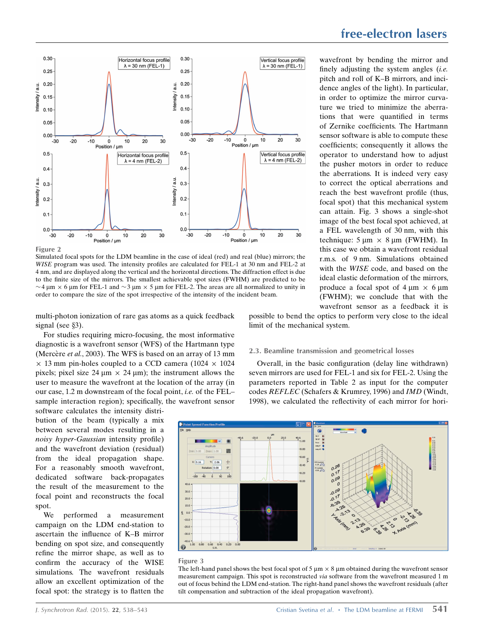

Figure 2

Simulated focal spots for the LDM beamline in the case of ideal (red) and real (blue) mirrors; the WISE program was used. The intensity profiles are calculated for FEL-1 at 30 nm and FEL-2 at 4 nm, and are displayed along the vertical and the horizontal directions. The diffraction effect is due to the finite size of the mirrors. The smallest achievable spot sizes (FWHM) are predicted to be  $\sim$  4  $\mu$ m  $\times$  6  $\mu$ m for FEL-1 and  $\sim$  3  $\mu$ m  $\times$  5  $\mu$ m for FEL-2. The areas are all normalized to unity in order to compare the size of the spot irrespective of the intensity of the incident beam.

multi-photon ionization of rare gas atoms as a quick feedback signal (see  $\S$ 3).

For studies requiring micro-focusing, the most informative diagnostic is a wavefront sensor (WFS) of the Hartmann type (Mercère *et al.*, 2003). The WFS is based on an array of 13 mm  $\times$  13 mm pin-holes coupled to a CCD camera (1024  $\times$  1024 pixels; pixel size 24  $\mu$ m  $\times$  24  $\mu$ m); the instrument allows the user to measure the wavefront at the location of the array (in our case, 1.2 m downstream of the focal point, i.e. of the FEL– sample interaction region); specifically, the wavefront sensor

software calculates the intensity distribution of the beam (typically a mix between several modes resulting in a noisy hyper-Gaussian intensity profile) and the wavefront deviation (residual) from the ideal propagation shape. For a reasonably smooth wavefront, dedicated software back-propagates the result of the measurement to the focal point and reconstructs the focal spot.

We performed a measurement campaign on the LDM end-station to ascertain the influence of K–B mirror bending on spot size, and consequently refine the mirror shape, as well as to confirm the accuracy of the WISE simulations. The wavefront residuals allow an excellent optimization of the focal spot: the strategy is to flatten the

### free-electron lasers

wavefront by bending the mirror and finely adjusting the system angles  $(i.e.$ pitch and roll of K–B mirrors, and incidence angles of the light). In particular, in order to optimize the mirror curvature we tried to minimize the aberrations that were quantified in terms of Zernike coefficients. The Hartmann sensor software is able to compute these coefficients; consequently it allows the operator to understand how to adjust the pusher motors in order to reduce the aberrations. It is indeed very easy to correct the optical aberrations and reach the best wavefront profile (thus, focal spot) that this mechanical system can attain. Fig. 3 shows a single-shot image of the best focal spot achieved, at a FEL wavelength of 30 nm, with this technique:  $5 \mu m \times 8 \mu m$  (FWHM). In this case we obtain a wavefront residual r.m.s. of 9 nm. Simulations obtained with the WISE code, and based on the ideal elastic deformation of the mirrors, produce a focal spot of  $4 \mu m \times 6 \mu m$ (FWHM); we conclude that with the wavefront sensor as a feedback it is

possible to bend the optics to perform very close to the ideal limit of the mechanical system.

### 2.3. Beamline transmission and geometrical losses

Overall, in the basic configuration (delay line withdrawn) seven mirrors are used for FEL-1 and six for FEL-2. Using the parameters reported in Table 2 as input for the computer codes REFLEC (Schafers & Krumrey, 1996) and IMD (Windt, 1998), we calculated the reflectivity of each mirror for hori-



### Figure 3

The left-hand panel shows the best focal spot of 5  $\mu$ m  $\times$  8  $\mu$ m obtained during the wavefront sensor measurement campaign. This spot is reconstructed via software from the wavefront measured 1 m out of focus behind the LDM end-station. The right-hand panel shows the wavefront residuals (after tilt compensation and subtraction of the ideal propagation wavefront).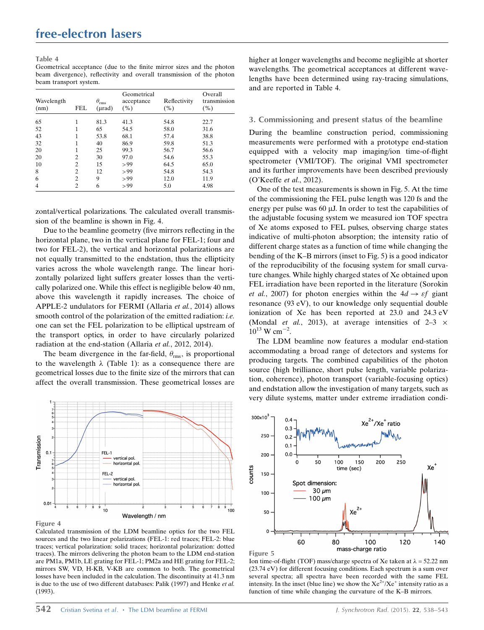#### Table 4

Geometrical acceptance (due to the finite mirror sizes and the photon beam divergence), reflectivity and overall transmission of the photon beam transport system.

| Wavelength<br>(nm) | FEL            | $\theta_{\rm rms}$<br>$(\mu rad)$ | Geometrical<br>acceptance<br>( %) | Reflectivity<br>(%) | Overall<br>transmission<br>(%) |
|--------------------|----------------|-----------------------------------|-----------------------------------|---------------------|--------------------------------|
| 65                 |                | 81.3                              | 41.3                              | 54.8                | 22.7                           |
| 52                 |                | 65                                | 54.5                              | 58.0                | 31.6                           |
| 43                 |                | 53.8                              | 68.1                              | 57.4                | 38.8                           |
| 32                 |                | 40                                | 86.9                              | 59.8                | 51.3                           |
| 20                 |                | 25                                | 99.3                              | 56.7                | 56.6                           |
| 20                 | 2              | 30                                | 97.0                              | 54.6                | 55.3                           |
| 10                 | $\overline{c}$ | 15                                | > 99                              | 64.5                | 65.0                           |
| 8                  | 2              | 12                                | > 99                              | 54.8                | 54.3                           |
| 6                  | $\overline{c}$ | 9                                 | > 99                              | 12.0                | 11.9                           |
| 4                  | $\overline{c}$ | 6                                 | > 99                              | 5.0                 | 4.98                           |

zontal/vertical polarizations. The calculated overall transmission of the beamline is shown in Fig. 4.

Due to the beamline geometry (five mirrors reflecting in the horizontal plane, two in the vertical plane for FEL-1; four and two for FEL-2), the vertical and horizontal polarizations are not equally transmitted to the endstation, thus the ellipticity varies across the whole wavelength range. The linear horizontally polarized light suffers greater losses than the vertically polarized one. While this effect is negligible below 40 nm, above this wavelength it rapidly increases. The choice of APPLE-2 undulators for FERMI (Allaria et al., 2014) allows smooth control of the polarization of the emitted radiation: *i.e.* one can set the FEL polarization to be elliptical upstream of the transport optics, in order to have circularly polarized radiation at the end-station (Allaria et al., 2012, 2014).

The beam divergence in the far-field,  $\theta_{\rm rms}$ , is proportional to the wavelength  $\lambda$  (Table 1): as a consequence there are geometrical losses due to the finite size of the mirrors that can affect the overall transmission. These geometrical losses are



Figure 4

Calculated transmission of the LDM beamline optics for the two FEL sources and the two linear polarizations (FEL-1: red traces; FEL-2: blue traces; vertical polarization: solid traces; horizontal polarization: dotted traces). The mirrors delivering the photon beam to the LDM end-station are PM1a, PM1b, LE grating for FEL-1; PM2a and HE grating for FEL-2; mirrors SW, VD, H-KB, V-KB are common to both. The geometrical losses have been included in the calculation. The discontinuity at 41.3 nm is due to the use of two different databases: Palik (1997) and Henke et al. (1993).

higher at longer wavelengths and become negligible at shorter wavelengths. The geometrical acceptances at different wavelengths have been determined using ray-tracing simulations, and are reported in Table 4.

### 3. Commissioning and present status of the beamline

During the beamline construction period, commissioning measurements were performed with a prototype end-station equipped with a velocity map imaging/ion time-of-flight spectrometer (VMI/TOF). The original VMI spectrometer and its further improvements have been described previously (O'Keeffe et al., 2012).

One of the test measurements is shown in Fig. 5. At the time of the commissioning the FEL pulse length was 120 fs and the energy per pulse was  $60 \mu$ J. In order to test the capabilities of the adjustable focusing system we measured ion TOF spectra of Xe atoms exposed to FEL pulses, observing charge states indicative of multi-photon absorption; the intensity ratio of different charge states as a function of time while changing the bending of the K–B mirrors (inset to Fig. 5) is a good indicator of the reproducibility of the focusing system for small curvature changes. While highly charged states of Xe obtained upon FEL irradiation have been reported in the literature (Sorokin et al., 2007) for photon energies within the  $4d \rightarrow \varepsilon f$  giant resonance (93 eV), to our knowledge only sequential double ionization of Xe has been reported at 23.0 and 24.3 eV (Mondal *et al.*, 2013), at average intensities of  $2-3 \times$  $10^{13}$  W cm<sup>-2</sup>.

The LDM beamline now features a modular end-station accommodating a broad range of detectors and systems for producing targets. The combined capabilities of the photon source (high brilliance, short pulse length, variable polarization, coherence), photon transport (variable-focusing optics) and endstation allow the investigation of many targets, such as very dilute systems, matter under extreme irradiation condi-





Ion time-of-flight (TOF) mass/charge spectra of Xe taken at  $\lambda = 52.22$  nm (23.74 eV) for different focusing conditions. Each spectrum is a sum over several spectra; all spectra have been recorded with the same FEL intensity. In the inset (blue line) we show the  $Xe^{2t}/Xe^{+}$  intensity ratio as a function of time while changing the curvature of the K–B mirrors.